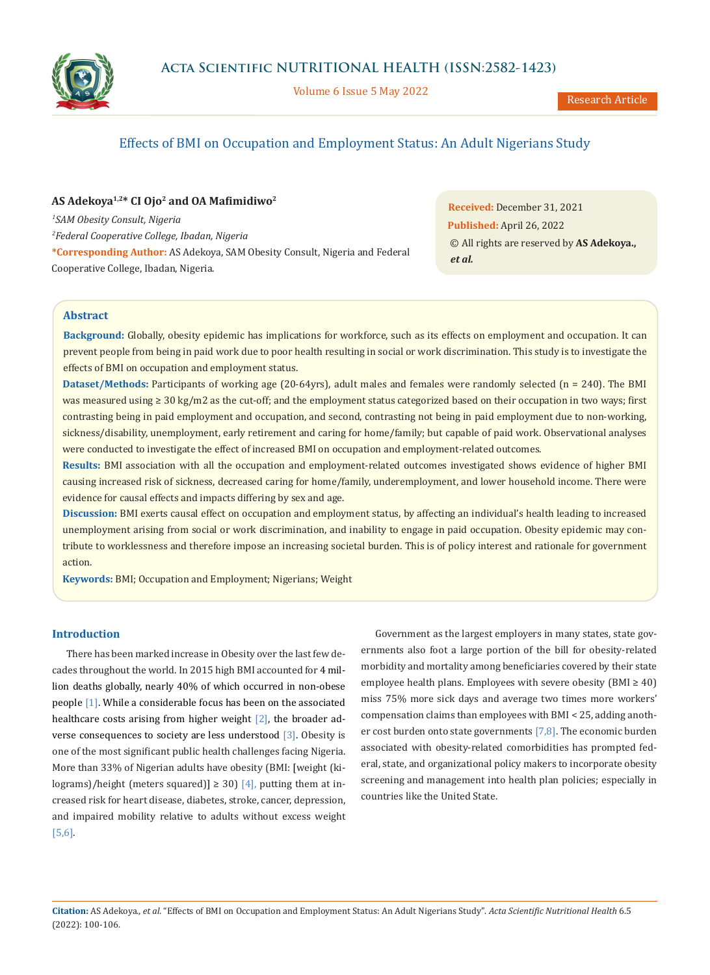

Volume 6 Issue 5 May 2022



# Effects of BMI on Occupation and Employment Status: An Adult Nigerians Study

# **AS Adekoya1,2\* CI Ojo2 and OA Mafimidiwo<sup>2</sup>**

*1 SAM Obesity Consult, Nigeria 2 Federal Cooperative College, Ibadan, Nigeria* **\*Corresponding Author:** AS Adekoya, SAM Obesity Consult, Nigeria and Federal Cooperative College, Ibadan, Nigeria.

**Received:** December 31, 2021 **Published:** April 26, 2022 © All rights are reserved by **AS Adekoya.,**  *et al.*

# **Abstract**

**Background:** Globally, obesity epidemic has implications for workforce, such as its effects on employment and occupation. It can prevent people from being in paid work due to poor health resulting in social or work discrimination. This study is to investigate the effects of BMI on occupation and employment status.

**Dataset/Methods:** Participants of working age (20-64yrs), adult males and females were randomly selected (n = 240). The BMI was measured using ≥ 30 kg/m2 as the cut-off; and the employment status categorized based on their occupation in two ways; first contrasting being in paid employment and occupation, and second, contrasting not being in paid employment due to non-working, sickness/disability, unemployment, early retirement and caring for home/family; but capable of paid work. Observational analyses were conducted to investigate the effect of increased BMI on occupation and employment-related outcomes.

**Results:** BMI association with all the occupation and employment-related outcomes investigated shows evidence of higher BMI causing increased risk of sickness, decreased caring for home/family, underemployment, and lower household income. There were evidence for causal effects and impacts differing by sex and age.

**Discussion:** BMI exerts causal effect on occupation and employment status, by affecting an individual's health leading to increased unemployment arising from social or work discrimination, and inability to engage in paid occupation. Obesity epidemic may contribute to worklessness and therefore impose an increasing societal burden. This is of policy interest and rationale for government action.

**Keywords:** BMI; Occupation and Employment; Nigerians; Weight

## **Introduction**

There has been marked increase in Obesity over the last few decades throughout the world. In 2015 high BMI accounted for 4 million deaths globally, nearly 40% of which occurred in non-obese people [1]. While a considerable focus has been on the associated healthcare costs arising from higher weight [2], the broader adverse consequences to society are less understood [3]. Obesity is one of the most significant public health challenges facing Nigeria. More than 33% of Nigerian adults have obesity (BMI: [weight (kilograms)/height (meters squared)]  $\geq$  30) [4], putting them at increased risk for heart disease, diabetes, stroke, cancer, depression, and impaired mobility relative to adults without excess weight [5,6].

Government as the largest employers in many states, state governments also foot a large portion of the bill for obesity-related morbidity and mortality among beneficiaries covered by their state employee health plans. Employees with severe obesity ( $BMI \geq 40$ ) miss 75% more sick days and average two times more workers' compensation claims than employees with BMI < 25, adding another cost burden onto state governments  $[7,8]$ . The economic burden associated with obesity-related comorbidities has prompted federal, state, and organizational policy makers to incorporate obesity screening and management into health plan policies; especially in countries like the United State.

**Citation:** AS Adekoya*., et al.* "Effects of BMI on Occupation and Employment Status: An Adult Nigerians Study". *Acta Scientific Nutritional Health* 6.5 (2022): 100-106.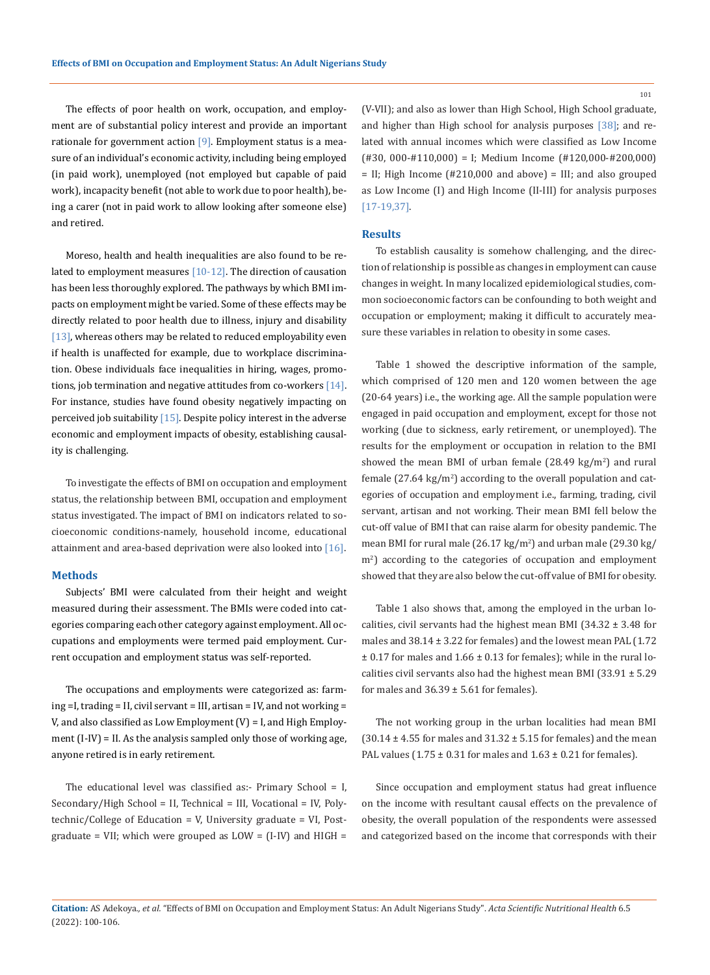The effects of poor health on work, occupation, and employment are of substantial policy interest and provide an important rationale for government action  $[9]$ . Employment status is a measure of an individual's economic activity, including being employed (in paid work), unemployed (not employed but capable of paid work), incapacity benefit (not able to work due to poor health), being a carer (not in paid work to allow looking after someone else) and retired.

Moreso, health and health inequalities are also found to be related to employment measures [10-12]. The direction of causation has been less thoroughly explored. The pathways by which BMI impacts on employment might be varied. Some of these effects may be directly related to poor health due to illness, injury and disability [13], whereas others may be related to reduced employability even if health is unaffected for example, due to workplace discrimination. Obese individuals face inequalities in hiring, wages, promotions, job termination and negative attitudes from co-workers  $[14]$ . For instance, studies have found obesity negatively impacting on perceived job suitability  $[15]$ . Despite policy interest in the adverse economic and employment impacts of obesity, establishing causality is challenging.

To investigate the effects of BMI on occupation and employment status, the relationship between BMI, occupation and employment status investigated. The impact of BMI on indicators related to socioeconomic conditions-namely, household income, educational attainment and area-based deprivation were also looked into [16].

#### **Methods**

Subjects' BMI were calculated from their height and weight measured during their assessment. The BMIs were coded into categories comparing each other category against employment. All occupations and employments were termed paid employment. Current occupation and employment status was self-reported.

The occupations and employments were categorized as: farming =I, trading = II, civil servant = III, artisan = IV, and not working = V, and also classified as Low Employment (V) = I, and High Employment (I-IV) = II. As the analysis sampled only those of working age, anyone retired is in early retirement.

The educational level was classified as:- Primary School = I, Secondary/High School = II, Technical = III, Vocational = IV, Polytechnic/College of Education = V, University graduate = VI, Postgraduate = VII; which were grouped as  $LOW = (I-IV)$  and  $HIGH =$  (V-VII); and also as lower than High School, High School graduate, and higher than High school for analysis purposes [38]; and related with annual incomes which were classified as Low Income (#30, 000-#110,000) = I; Medium Income (#120,000-#200,000) = II; High Income (#210,000 and above) = III; and also grouped as Low Income (I) and High Income (II-III) for analysis purposes [17-19,37].

#### **Results**

To establish causality is somehow challenging, and the direction of relationship is possible as changes in employment can cause changes in weight. In many localized epidemiological studies, common socioeconomic factors can be confounding to both weight and occupation or employment; making it difficult to accurately measure these variables in relation to obesity in some cases.

Table 1 showed the descriptive information of the sample, which comprised of 120 men and 120 women between the age (20-64 years) i.e., the working age. All the sample population were engaged in paid occupation and employment, except for those not working (due to sickness, early retirement, or unemployed). The results for the employment or occupation in relation to the BMI showed the mean BMI of urban female  $(28.49 \text{ kg/m}^2)$  and rural female  $(27.64 \text{ kg/m}^2)$  according to the overall population and categories of occupation and employment i.e., farming, trading, civil servant, artisan and not working. Their mean BMI fell below the cut-off value of BMI that can raise alarm for obesity pandemic. The mean BMI for rural male (26.17 kg/m<sup>2</sup> ) and urban male (29.30 kg/ m<sup>2</sup> ) according to the categories of occupation and employment showed that they are also below the cut-off value of BMI for obesity.

Table 1 also shows that, among the employed in the urban localities, civil servants had the highest mean BMI (34.32  $\pm$  3.48 for males and  $38.14 \pm 3.22$  for females) and the lowest mean PAL (1.72  $\pm$  0.17 for males and 1.66  $\pm$  0.13 for females); while in the rural localities civil servants also had the highest mean BMI (33.91 ± 5.29 for males and  $36.39 \pm 5.61$  for females).

The not working group in the urban localities had mean BMI  $(30.14 \pm 4.55$  for males and  $31.32 \pm 5.15$  for females) and the mean PAL values (1.75  $\pm$  0.31 for males and 1.63  $\pm$  0.21 for females).

Since occupation and employment status had great influence on the income with resultant causal effects on the prevalence of obesity, the overall population of the respondents were assessed and categorized based on the income that corresponds with their

**Citation:** AS Adekoya*., et al.* "Effects of BMI on Occupation and Employment Status: An Adult Nigerians Study". *Acta Scientific Nutritional Health* 6.5 (2022): 100-106.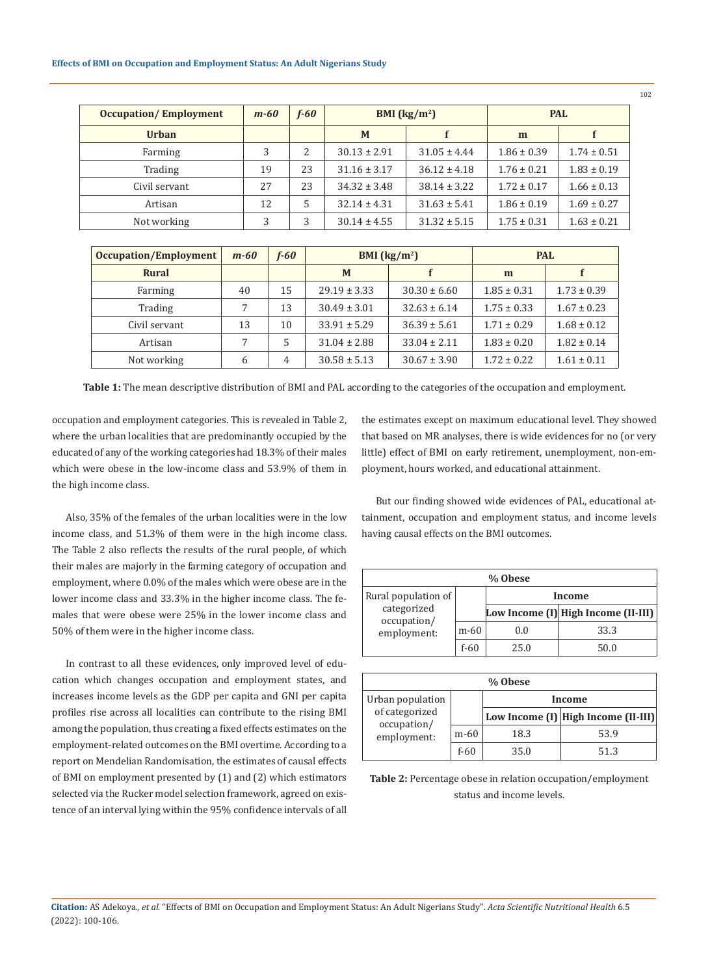| <b>Occupation/Employment</b> | $m-60$ | $f - 60$ | BMI $\left(\frac{\text{kg}}{\text{m}^2}\right)$ |                  | <b>PAL</b>      |                 |
|------------------------------|--------|----------|-------------------------------------------------|------------------|-----------------|-----------------|
| <b>Urban</b>                 |        |          | M                                               |                  | m               |                 |
| Farming                      | 3      | 2        | $30.13 \pm 2.91$                                | $31.05 \pm 4.44$ | $1.86 \pm 0.39$ | $1.74 \pm 0.51$ |
| Trading                      | 19     | 23       | $31.16 \pm 3.17$                                | $36.12 \pm 4.18$ | $1.76 \pm 0.21$ | $1.83 \pm 0.19$ |
| Civil servant                | 2.7    | 23       | $34.32 \pm 3.48$                                | $38.14 \pm 3.22$ | $1.72 \pm 0.17$ | $1.66 \pm 0.13$ |
| Artisan                      | 12     | 5        | $32.14 \pm 4.31$                                | $31.63 \pm 5.41$ | $1.86 \pm 0.19$ | $1.69 \pm 0.27$ |
| Not working                  | 3      | 3        | $30.14 \pm 4.55$                                | $31.32 \pm 5.15$ | $1.75 \pm 0.31$ | $1.63 \pm 0.21$ |

| Occupation/Employment | $m-60$ | $f - 60$ | BMI $\left(\frac{\text{kg}}{\text{m}^2}\right)$ |                  | <b>PAL</b>      |                 |
|-----------------------|--------|----------|-------------------------------------------------|------------------|-----------------|-----------------|
| <b>Rural</b>          |        |          | M                                               |                  | m               |                 |
| Farming               | 40     | 15       | $29.19 \pm 3.33$                                | $30.30 \pm 6.60$ | $1.85 \pm 0.31$ | $1.73 \pm 0.39$ |
| Trading               |        | 13       | $30.49 \pm 3.01$                                | $32.63 \pm 6.14$ | $1.75 \pm 0.33$ | $1.67 \pm 0.23$ |
| Civil servant         | 13     | 10       | $33.91 \pm 5.29$                                | $36.39 \pm 5.61$ | $1.71 \pm 0.29$ | $1.68 \pm 0.12$ |
| Artisan               | 7      | 5        | $31.04 \pm 2.88$                                | $33.04 \pm 2.11$ | $1.83 \pm 0.20$ | $1.82 \pm 0.14$ |
| Not working           | 6      | 4        | $30.58 \pm 5.13$                                | $30.67 \pm 3.90$ | $1.72 \pm 0.22$ | $1.61 \pm 0.11$ |

**Table 1:** The mean descriptive distribution of BMI and PAL according to the categories of the occupation and employment.

occupation and employment categories. This is revealed in Table 2, where the urban localities that are predominantly occupied by the educated of any of the working categories had 18.3% of their males which were obese in the low-income class and 53.9% of them in the high income class.

Also, 35% of the females of the urban localities were in the low income class, and 51.3% of them were in the high income class. The Table 2 also reflects the results of the rural people, of which their males are majorly in the farming category of occupation and employment, where 0.0% of the males which were obese are in the lower income class and 33.3% in the higher income class. The females that were obese were 25% in the lower income class and 50% of them were in the higher income class.

In contrast to all these evidences, only improved level of education which changes occupation and employment states, and increases income levels as the GDP per capita and GNI per capita profiles rise across all localities can contribute to the rising BMI among the population, thus creating a fixed effects estimates on the employment-related outcomes on the BMI overtime. According to a report on Mendelian Randomisation, the estimates of causal effects of BMI on employment presented by (1) and (2) which estimators selected via the Rucker model selection framework, agreed on existence of an interval lying within the 95% confidence intervals of all the estimates except on maximum educational level. They showed that based on MR analyses, there is wide evidences for no (or very little) effect of BMI on early retirement, unemployment, non-employment, hours worked, and educational attainment.

But our finding showed wide evidences of PAL, educational attainment, occupation and employment status, and income levels having causal effects on the BMI outcomes.

| % Obese                                   |      |        |                                     |  |  |
|-------------------------------------------|------|--------|-------------------------------------|--|--|
| Rural population of                       |      | Income |                                     |  |  |
| categorized<br>occupation/<br>employment: |      |        | Low Income (I) High Income (II-III) |  |  |
|                                           | m-60 | 0.0    | 33.3                                |  |  |
|                                           | f-60 | 250    | 50.0                                |  |  |

| % Obese                                      |        |        |                                     |  |
|----------------------------------------------|--------|--------|-------------------------------------|--|
| Urban population                             |        | Income |                                     |  |
| of categorized<br>occupation/<br>employment: |        |        | Low Income (I) High Income (II-III) |  |
|                                              | $m-60$ | 18.3   | 53.9                                |  |
|                                              | f-60   | 35.0   | 513                                 |  |

**Table 2:** Percentage obese in relation occupation/employment status and income levels.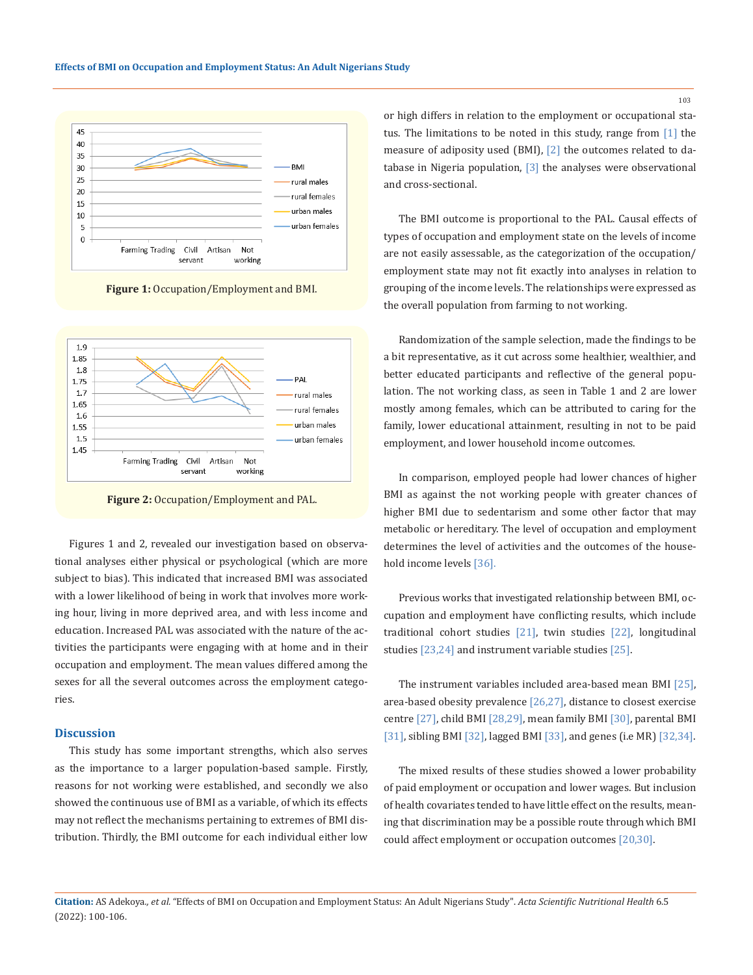

**Figure 1:** Occupation/Employment and BMI.



**Figure 2:** Occupation/Employment and PAL.

Figures 1 and 2, revealed our investigation based on observational analyses either physical or psychological (which are more subject to bias). This indicated that increased BMI was associated with a lower likelihood of being in work that involves more working hour, living in more deprived area, and with less income and education. Increased PAL was associated with the nature of the activities the participants were engaging with at home and in their occupation and employment. The mean values differed among the sexes for all the several outcomes across the employment categories.

#### **Discussion**

This study has some important strengths, which also serves as the importance to a larger population-based sample. Firstly, reasons for not working were established, and secondly we also showed the continuous use of BMI as a variable, of which its effects may not reflect the mechanisms pertaining to extremes of BMI distribution. Thirdly, the BMI outcome for each individual either low or high differs in relation to the employment or occupational status. The limitations to be noted in this study, range from [1] the measure of adiposity used (BMI), [2] the outcomes related to database in Nigeria population,  $[3]$  the analyses were observational and cross-sectional.

The BMI outcome is proportional to the PAL. Causal effects of types of occupation and employment state on the levels of income are not easily assessable, as the categorization of the occupation/ employment state may not fit exactly into analyses in relation to grouping of the income levels. The relationships were expressed as the overall population from farming to not working.

Randomization of the sample selection, made the findings to be a bit representative, as it cut across some healthier, wealthier, and better educated participants and reflective of the general population. The not working class, as seen in Table 1 and 2 are lower mostly among females, which can be attributed to caring for the family, lower educational attainment, resulting in not to be paid employment, and lower household income outcomes.

In comparison, employed people had lower chances of higher BMI as against the not working people with greater chances of higher BMI due to sedentarism and some other factor that may metabolic or hereditary. The level of occupation and employment determines the level of activities and the outcomes of the household income levels [36].

Previous works that investigated relationship between BMI, occupation and employment have conflicting results, which include traditional cohort studies [21], twin studies [22], longitudinal studies [23,24] and instrument variable studies [25].

The instrument variables included area-based mean BMI [25], area-based obesity prevalence [26,27], distance to closest exercise centre [27], child BMI [28,29], mean family BMI [30], parental BMI [31], sibling BMI [32], lagged BMI [33], and genes (i.e MR) [32,34].

The mixed results of these studies showed a lower probability of paid employment or occupation and lower wages. But inclusion of health covariates tended to have little effect on the results, meaning that discrimination may be a possible route through which BMI could affect employment or occupation outcomes [20,30].

**Citation:** AS Adekoya*., et al.* "Effects of BMI on Occupation and Employment Status: An Adult Nigerians Study". *Acta Scientific Nutritional Health* 6.5 (2022): 100-106.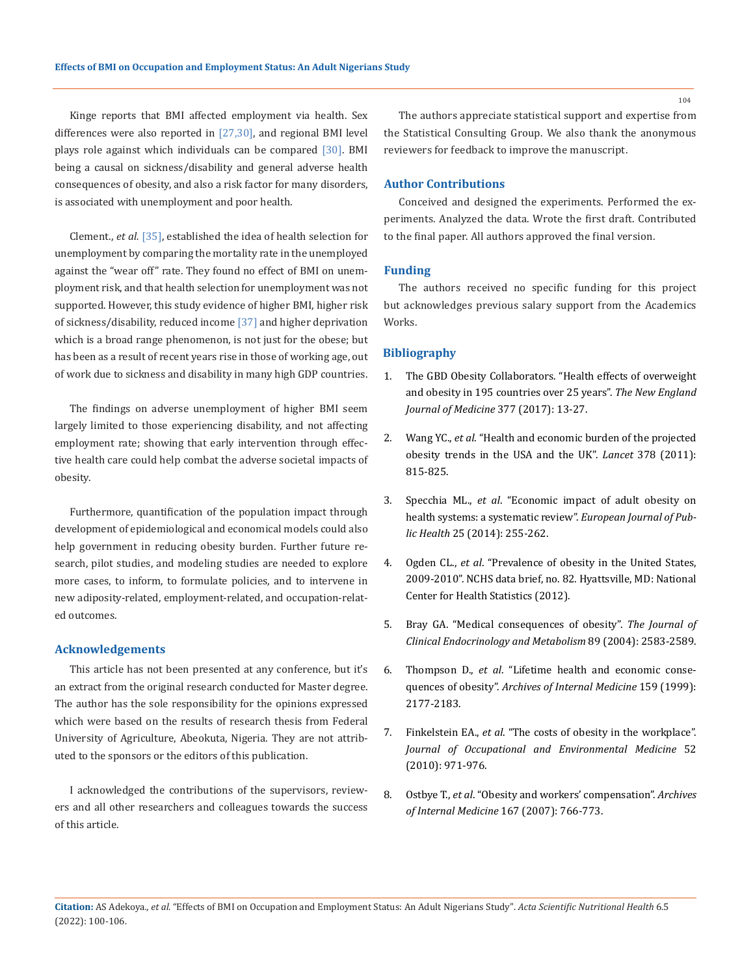Kinge reports that BMI affected employment via health. Sex differences were also reported in  $[27,30]$ , and regional BMI level plays role against which individuals can be compared [30]. BMI being a causal on sickness/disability and general adverse health consequences of obesity, and also a risk factor for many disorders, is associated with unemployment and poor health.

Clement., *et al.* [35], established the idea of health selection for unemployment by comparing the mortality rate in the unemployed against the "wear off" rate. They found no effect of BMI on unemployment risk, and that health selection for unemployment was not supported. However, this study evidence of higher BMI, higher risk of sickness/disability, reduced income [37] and higher deprivation which is a broad range phenomenon, is not just for the obese; but has been as a result of recent years rise in those of working age, out of work due to sickness and disability in many high GDP countries.

The findings on adverse unemployment of higher BMI seem largely limited to those experiencing disability, and not affecting employment rate; showing that early intervention through effective health care could help combat the adverse societal impacts of obesity.

Furthermore, quantification of the population impact through development of epidemiological and economical models could also help government in reducing obesity burden. Further future research, pilot studies, and modeling studies are needed to explore more cases, to inform, to formulate policies, and to intervene in new adiposity-related, employment-related, and occupation-related outcomes.

### **Acknowledgements**

This article has not been presented at any conference, but it's an extract from the original research conducted for Master degree. The author has the sole responsibility for the opinions expressed which were based on the results of research thesis from Federal University of Agriculture, Abeokuta, Nigeria. They are not attributed to the sponsors or the editors of this publication.

I acknowledged the contributions of the supervisors, reviewers and all other researchers and colleagues towards the success of this article.

The authors appreciate statistical support and expertise from the Statistical Consulting Group. We also thank the anonymous reviewers for feedback to improve the manuscript.

### **Author Contributions**

Conceived and designed the experiments. Performed the experiments. Analyzed the data. Wrote the first draft. Contributed to the final paper. All authors approved the final version.

### **Funding**

The authors received no specific funding for this project but acknowledges previous salary support from the Academics Works.

### **Bibliography**

- 1. [The GBD Obesity Collaborators. "Health effects of overweight](https://pubmed.ncbi.nlm.nih.gov/28604169/)  [and obesity in 195 countries over 25 years".](https://pubmed.ncbi.nlm.nih.gov/28604169/) *The New England [Journal of Medicine](https://pubmed.ncbi.nlm.nih.gov/28604169/)* 377 (2017): 13-27.
- 2. Wang YC., *et al*[. "Health and economic burden of the projected](https://pubmed.ncbi.nlm.nih.gov/21872750/)  [obesity trends in the USA and the UK".](https://pubmed.ncbi.nlm.nih.gov/21872750/) *Lancet* 378 (2011): [815-825.](https://pubmed.ncbi.nlm.nih.gov/21872750/)
- 3. Specchia ML., *et al*[. "Economic impact of adult obesity on](https://pubmed.ncbi.nlm.nih.gov/25320051/)  [health systems: a systematic review".](https://pubmed.ncbi.nlm.nih.gov/25320051/) *European Journal of Public Health* [25 \(2014\): 255-262.](https://pubmed.ncbi.nlm.nih.gov/25320051/)
- 4. Ogden CL., *et al*[. "Prevalence of obesity in the United States,](https://pubmed.ncbi.nlm.nih.gov/22617494/)  [2009-2010". NCHS data brief, no. 82. Hyattsville, MD: National](https://pubmed.ncbi.nlm.nih.gov/22617494/)  [Center for Health Statistics \(2012\).](https://pubmed.ncbi.nlm.nih.gov/22617494/)
- 5. [Bray GA. "Medical consequences of obesity".](https://pubmed.ncbi.nlm.nih.gov/15475229/) *The Journal of [Clinical Endocrinology and Metabolism](https://pubmed.ncbi.nlm.nih.gov/15475229/)* 89 (2004): 2583-2589.
- 6. Thompson D., *et al*[. "Lifetime health and economic conse](https://pubmed.ncbi.nlm.nih.gov/10527295/)quences of obesity". *[Archives of Internal Medicine](https://pubmed.ncbi.nlm.nih.gov/10527295/)* 159 (1999): [2177-2183.](https://pubmed.ncbi.nlm.nih.gov/10527295/)
- 7. Finkelstein EA., *et al*[. "The costs of obesity in the workplace".](https://pubmed.ncbi.nlm.nih.gov/20881629/)  *[Journal of Occupational and Environmental Medicine](https://pubmed.ncbi.nlm.nih.gov/20881629/)* 52 [\(2010\): 971-976.](https://pubmed.ncbi.nlm.nih.gov/20881629/)
- 8. Ostbye T., *et al*[. "Obesity and workers' compensation".](https://pubmed.ncbi.nlm.nih.gov/27608149/) *Archives [of Internal Medicine](https://pubmed.ncbi.nlm.nih.gov/27608149/)* 167 (2007): 766-773.

**Citation:** AS Adekoya*., et al.* "Effects of BMI on Occupation and Employment Status: An Adult Nigerians Study". *Acta Scientific Nutritional Health* 6.5 (2022): 100-106.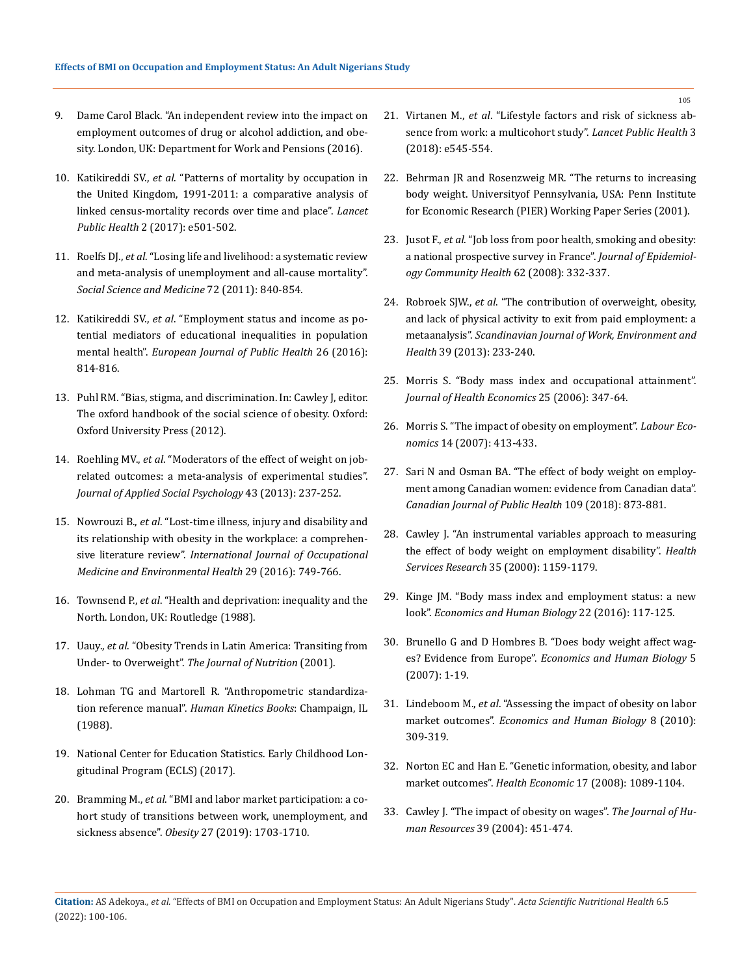- 9. [Dame Carol Black. "An independent review into the impact on](https://assets.publishing.service.gov.uk/government/uploads/system/uploads/attachment_data/file/573892/employment-outcomes-of-drug-or-alcohol-addiction-and-obesity-print.PDF)  [employment outcomes of drug or alcohol addiction, and obe](https://assets.publishing.service.gov.uk/government/uploads/system/uploads/attachment_data/file/573892/employment-outcomes-of-drug-or-alcohol-addiction-and-obesity-print.PDF)[sity. London, UK: Department for Work and Pensions \(2016\).](https://assets.publishing.service.gov.uk/government/uploads/system/uploads/attachment_data/file/573892/employment-outcomes-of-drug-or-alcohol-addiction-and-obesity-print.PDF)
- 10. Katikireddi SV., *et al*[. "Patterns of mortality by occupation in](https://pubmed.ncbi.nlm.nih.gov/29130073/)  [the United Kingdom, 1991-2011: a comparative analysis of](https://pubmed.ncbi.nlm.nih.gov/29130073/)  [linked census-mortality records over time and place".](https://pubmed.ncbi.nlm.nih.gov/29130073/) *Lancet Public Health* [2 \(2017\): e501-502.](https://pubmed.ncbi.nlm.nih.gov/29130073/)
- 11. Roelfs DJ., *et al*[. "Losing life and livelihood: a systematic review](https://pubmed.ncbi.nlm.nih.gov/21330027/)  [and meta-analysis of unemployment and all-cause mortality".](https://pubmed.ncbi.nlm.nih.gov/21330027/)  *[Social Science and Medicine](https://pubmed.ncbi.nlm.nih.gov/21330027/)* 72 (2011): 840-854.
- 12. Katikireddi SV., *et al*[. "Employment status and income as po](https://pubmed.ncbi.nlm.nih.gov/27593454/)[tential mediators of educational inequalities in population](https://pubmed.ncbi.nlm.nih.gov/27593454/)  mental health". *[European Journal of Public Health](https://pubmed.ncbi.nlm.nih.gov/27593454/)* 26 (2016): [814-816.](https://pubmed.ncbi.nlm.nih.gov/27593454/)
- 13. Puhl RM. "Bias, stigma, and discrimination. In: Cawley J, editor. The oxford handbook of the social science of obesity. Oxford: Oxford University Press (2012).
- 14. Roehling MV., *et al*[. "Moderators of the effect of weight on job](https://www.researchgate.net/publication/263605611_Moderators_of_the_effect_of_weight_on_job-related_outcomes_A_meta-analysis_of_experimental_studies)[related outcomes: a meta-analysis of experimental studies".](https://www.researchgate.net/publication/263605611_Moderators_of_the_effect_of_weight_on_job-related_outcomes_A_meta-analysis_of_experimental_studies)  *[Journal of Applied Social Psychology](https://www.researchgate.net/publication/263605611_Moderators_of_the_effect_of_weight_on_job-related_outcomes_A_meta-analysis_of_experimental_studies)* 43 (2013): 237-252.
- 15. Nowrouzi B., *et al*[. "Lost-time illness, injury and disability and](https://pubmed.ncbi.nlm.nih.gov/27518885/)  [its relationship with obesity in the workplace: a comprehen](https://pubmed.ncbi.nlm.nih.gov/27518885/)sive literature review". *[International Journal of Occupational](https://pubmed.ncbi.nlm.nih.gov/27518885/)  [Medicine and Environmental Health](https://pubmed.ncbi.nlm.nih.gov/27518885/)* 29 (2016): 749-766.
- 16. Townsend P., *et al*. "Health and deprivation: inequality and the North. London, UK: Routledge (1988).
- 17. Uauy., *et al*. "Obesity Trends in Latin America: Transiting from Under- to Overweight". *The Journal of Nutrition* (2001).
- 18. [Lohman TG and Martorell R. "Anthropometric standardiza](https://www.worldcat.org/title/anthropometric-standardization-reference-manual/oclc/15592588)tion reference manual". *[Human Kinetics Books](https://www.worldcat.org/title/anthropometric-standardization-reference-manual/oclc/15592588)*: Champaign, IL [\(1988\).](https://www.worldcat.org/title/anthropometric-standardization-reference-manual/oclc/15592588)
- 19. [National Center for Education Statistics. Early Childhood Lon](https://nces.ed.gov/ecls/)[gitudinal Program \(ECLS\) \(2017\).](https://nces.ed.gov/ecls/)
- 20. Bramming M., *et al*[. "BMI and labor market participation: a co](https://pubmed.ncbi.nlm.nih.gov/31544342/)[hort study of transitions between work, unemployment, and](https://pubmed.ncbi.nlm.nih.gov/31544342/)  sickness absence". *Obesity* [27 \(2019\): 1703-1710.](https://pubmed.ncbi.nlm.nih.gov/31544342/)
- 21. Virtanen M., *et al*[. "Lifestyle factors and risk of sickness ab](file:///D:/07-02-2022/PDF/ASNH/ASNH-21-RA-373/Lifestyle%20factors%20and%20risk%20of%20sickness%20absence%20from%20work:%20a%20multicohort%20study)[sence from work: a multicohort study".](file:///D:/07-02-2022/PDF/ASNH/ASNH-21-RA-373/Lifestyle%20factors%20and%20risk%20of%20sickness%20absence%20from%20work:%20a%20multicohort%20study) *Lancet Public Health* 3 [\(2018\): e545-554.](file:///D:/07-02-2022/PDF/ASNH/ASNH-21-RA-373/Lifestyle%20factors%20and%20risk%20of%20sickness%20absence%20from%20work:%20a%20multicohort%20study)
- 22. [Behrman JR and Rosenzweig MR. "The returns to increasing](https://economics.sas.upenn.edu/pier/working-paper/2001/returns-increasing-body-weight)  [body weight. Universityof Pennsylvania, USA: Penn Institute](https://economics.sas.upenn.edu/pier/working-paper/2001/returns-increasing-body-weight)  [for Economic Research \(PIER\) Working Paper Series \(2001\).](https://economics.sas.upenn.edu/pier/working-paper/2001/returns-increasing-body-weight)
- 23. Jusot F., *et al*[. "Job loss from poor health, smoking and obesity:](https://pubmed.ncbi.nlm.nih.gov/18339826/)  [a national prospective survey in France".](https://pubmed.ncbi.nlm.nih.gov/18339826/) *Journal of Epidemiol[ogy Community Health](https://pubmed.ncbi.nlm.nih.gov/18339826/)* 62 (2008): 332-337.
- 24. Robroek SJW., *et al*[. "The contribution of overweight, obesity,](https://pubmed.ncbi.nlm.nih.gov/23460255/)  [and lack of physical activity to exit from paid employment: a](https://pubmed.ncbi.nlm.nih.gov/23460255/)  metaanalysis". *[Scandinavian Journal of Work, Environment and](https://pubmed.ncbi.nlm.nih.gov/23460255/)  Health* [39 \(2013\): 233-240.](https://pubmed.ncbi.nlm.nih.gov/23460255/)
- 25. [Morris S. "Body mass index and occupational attainment".](https://pubmed.ncbi.nlm.nih.gov/16290234/)  *[Journal of Health Economics](https://pubmed.ncbi.nlm.nih.gov/16290234/)* 25 (2006): 347-64.
- 26. [Morris S. "The impact of obesity on employment".](https://www.ncbi.nlm.nih.gov/pmc/articles/PMC6338917/) *Labour Economics* [14 \(2007\): 413-433.](https://www.ncbi.nlm.nih.gov/pmc/articles/PMC6338917/)
- 27. [Sari N and Osman BA. "The effect of body weight on employ](https://www.ncbi.nlm.nih.gov/pmc/articles/PMC6964544/)[ment among Canadian women: evidence from Canadian data".](https://www.ncbi.nlm.nih.gov/pmc/articles/PMC6964544/)  *[Canadian Journal of Public Health](https://www.ncbi.nlm.nih.gov/pmc/articles/PMC6964544/)* 109 (2018): 873-881.
- 28. [Cawley J. "An instrumental variables approach to measuring](https://pubmed.ncbi.nlm.nih.gov/11130815/)  [the effect of body weight on employment disability".](https://pubmed.ncbi.nlm.nih.gov/11130815/) *Health Services Research* [35 \(2000\): 1159-1179.](https://pubmed.ncbi.nlm.nih.gov/11130815/)
- 29. [Kinge JM. "Body mass index and employment status: a new](https://pubmed.ncbi.nlm.nih.gov/27054482/)  look". *[Economics and Human Biology](https://pubmed.ncbi.nlm.nih.gov/27054482/)* 22 (2016): 117-125.
- 30. [Brunello G and D Hombres B. "Does body weight affect wag](https://pubmed.ncbi.nlm.nih.gov/17174614/)es? Evidence from Europe". *[Economics and Human Biology](https://pubmed.ncbi.nlm.nih.gov/17174614/)* 5 [\(2007\): 1-19.](https://pubmed.ncbi.nlm.nih.gov/17174614/)
- 31. Lindeboom M., *et al*[. "Assessing the impact of obesity on labor](https://pubmed.ncbi.nlm.nih.gov/20864420/)  market outcomes". *[Economics and Human Biology](https://pubmed.ncbi.nlm.nih.gov/20864420/)* 8 (2010): [309-319.](https://pubmed.ncbi.nlm.nih.gov/20864420/)
- 32. [Norton EC and Han E. "Genetic information, obesity, and labor](https://www.ncbi.nlm.nih.gov/pmc/articles/PMC3852680/)  market outcomes". *Health Economic* [17 \(2008\): 1089-1104.](https://www.ncbi.nlm.nih.gov/pmc/articles/PMC3852680/)
- 33. [Cawley J. "The impact of obesity on wages".](https://www.jstor.org/stable/3559022) *The Journal of Human Resources* [39 \(2004\): 451-474.](https://www.jstor.org/stable/3559022)

**Citation:** AS Adekoya*., et al.* "Effects of BMI on Occupation and Employment Status: An Adult Nigerians Study". *Acta Scientific Nutritional Health* 6.5 (2022): 100-106.